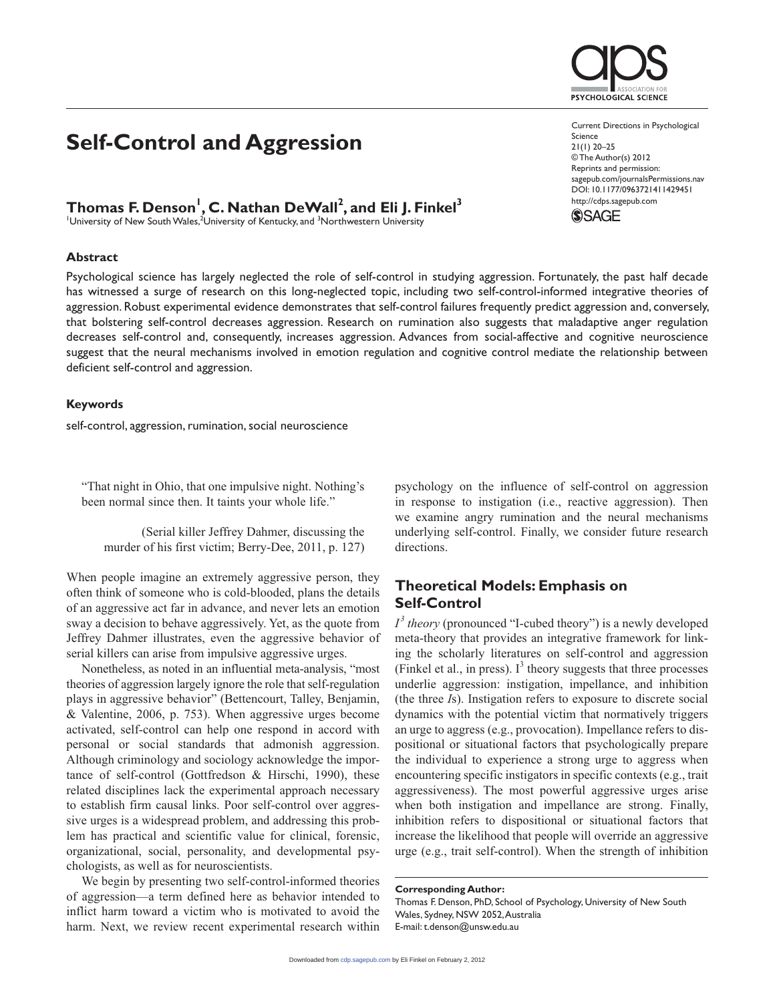## **Self-Control and Aggression**

# **Thomas F. Denson<sup>1</sup>, C. Nathan DeWall<sup>2</sup>, and Eli J. Finkel<sup>3</sup><br>'University of New South Wales,<sup>2</sup>University of Kentucky, and <sup>3</sup>Northwestern University**

### **Abstract**

Psychological science has largely neglected the role of self-control in studying aggression. Fortunately, the past half decade has witnessed a surge of research on this long-neglected topic, including two self-control-informed integrative theories of aggression. Robust experimental evidence demonstrates that self-control failures frequently predict aggression and, conversely, that bolstering self-control decreases aggression. Research on rumination also suggests that maladaptive anger regulation decreases self-control and, consequently, increases aggression. Advances from social-affective and cognitive neuroscience suggest that the neural mechanisms involved in emotion regulation and cognitive control mediate the relationship between deficient self-control and aggression.

#### **Keywords**

self-control, aggression, rumination, social neuroscience

"That night in Ohio, that one impulsive night. Nothing's been normal since then. It taints your whole life."

(Serial killer Jeffrey Dahmer, discussing the murder of his first victim; Berry-Dee, 2011, p. 127)

When people imagine an extremely aggressive person, they often think of someone who is cold-blooded, plans the details of an aggressive act far in advance, and never lets an emotion sway a decision to behave aggressively. Yet, as the quote from Jeffrey Dahmer illustrates, even the aggressive behavior of serial killers can arise from impulsive aggressive urges.

Nonetheless, as noted in an influential meta-analysis, "most theories of aggression largely ignore the role that self-regulation plays in aggressive behavior" (Bettencourt, Talley, Benjamin, & Valentine, 2006, p. 753). When aggressive urges become activated, self-control can help one respond in accord with personal or social standards that admonish aggression. Although criminology and sociology acknowledge the importance of self-control (Gottfredson & Hirschi, 1990), these related disciplines lack the experimental approach necessary to establish firm causal links. Poor self-control over aggressive urges is a widespread problem, and addressing this problem has practical and scientific value for clinical, forensic, organizational, social, personality, and developmental psychologists, as well as for neuroscientists.

We begin by presenting two self-control-informed theories of aggression—a term defined here as behavior intended to inflict harm toward a victim who is motivated to avoid the harm. Next, we review recent experimental research within

psychology on the influence of self-control on aggression in response to instigation (i.e., reactive aggression). Then we examine angry rumination and the neural mechanisms underlying self-control. Finally, we consider future research directions.

## **Theoretical Models: Emphasis on Self-Control**

 $I<sup>3</sup>$  *theory* (pronounced "I-cubed theory") is a newly developed meta-theory that provides an integrative framework for linking the scholarly literatures on self-control and aggression (Finkel et al., in press).  $I^3$  theory suggests that three processes underlie aggression: instigation, impellance, and inhibition (the three *I*s). Instigation refers to exposure to discrete social dynamics with the potential victim that normatively triggers an urge to aggress (e.g., provocation). Impellance refers to dispositional or situational factors that psychologically prepare the individual to experience a strong urge to aggress when encountering specific instigators in specific contexts (e.g., trait aggressiveness). The most powerful aggressive urges arise when both instigation and impellance are strong. Finally, inhibition refers to dispositional or situational factors that increase the likelihood that people will override an aggressive urge (e.g., trait self-control). When the strength of inhibition

**Corresponding Author:**

Thomas F. Denson, PhD, School of Psychology, University of New South Wales, Sydney, NSW 2052, Australia E-mail: t.denson@unsw.edu.au

Current Directions in Psychological Science  $21(1) 20 - 25$ © The Author(s) 2012

Reprints and permission: sagepub.com/journalsPermissions.nav DOI: 10.1177/0963721411429451 http://cdps.sagepub.com



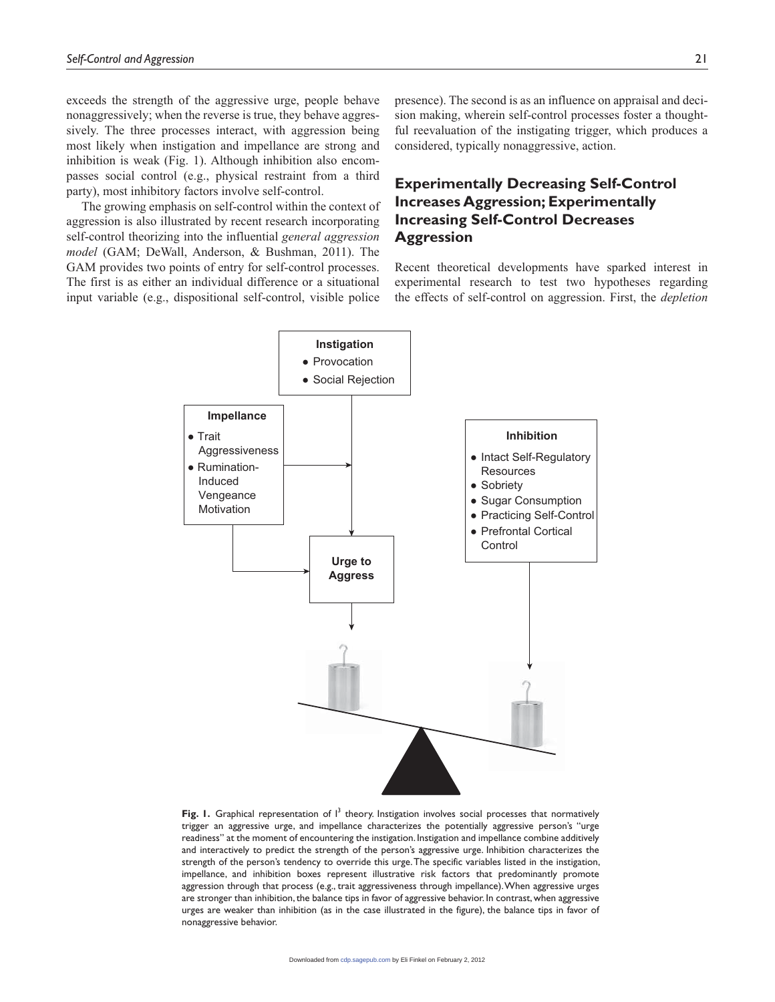exceeds the strength of the aggressive urge, people behave nonaggressively; when the reverse is true, they behave aggressively. The three processes interact, with aggression being most likely when instigation and impellance are strong and inhibition is weak (Fig. 1). Although inhibition also encompasses social control (e.g., physical restraint from a third party), most inhibitory factors involve self-control.

The growing emphasis on self-control within the context of aggression is also illustrated by recent research incorporating self-control theorizing into the influential *general aggression model* (GAM; DeWall, Anderson, & Bushman, 2011). The GAM provides two points of entry for self-control processes. The first is as either an individual difference or a situational input variable (e.g., dispositional self-control, visible police

presence). The second is as an influence on appraisal and decision making, wherein self-control processes foster a thoughtful reevaluation of the instigating trigger, which produces a considered, typically nonaggressive, action.

## **Experimentally Decreasing Self-Control Increases Aggression; Experimentally Increasing Self-Control Decreases Aggression**

Recent theoretical developments have sparked interest in experimental research to test two hypotheses regarding the effects of self-control on aggression. First, the *depletion* 



Fig. 1. Graphical representation of  $I^3$  theory. Instigation involves social processes that normatively trigger an aggressive urge, and impellance characterizes the potentially aggressive person's "urge readiness" at the moment of encountering the instigation. Instigation and impellance combine additively and interactively to predict the strength of the person's aggressive urge. Inhibition characterizes the strength of the person's tendency to override this urge. The specific variables listed in the instigation, impellance, and inhibition boxes represent illustrative risk factors that predominantly promote aggression through that process (e.g., trait aggressiveness through impellance). When aggressive urges are stronger than inhibition, the balance tips in favor of aggressive behavior. In contrast, when aggressive urges are weaker than inhibition (as in the case illustrated in the figure), the balance tips in favor of nonaggressive behavior.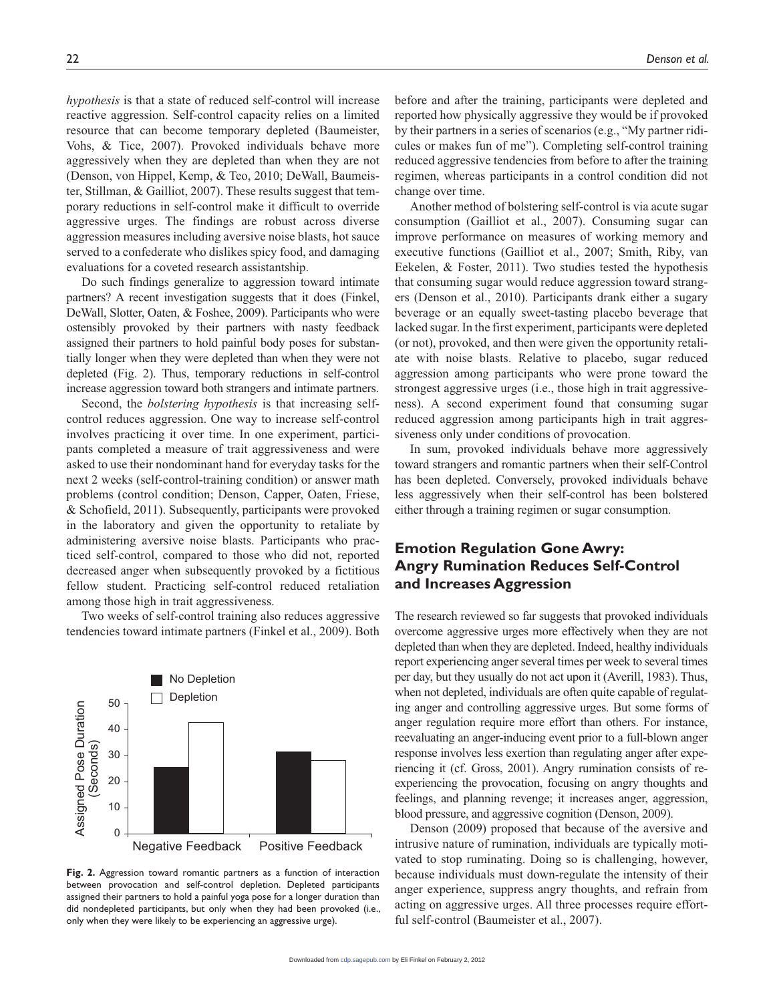*hypothesis* is that a state of reduced self-control will increase reactive aggression. Self-control capacity relies on a limited resource that can become temporary depleted (Baumeister, Vohs, & Tice, 2007). Provoked individuals behave more aggressively when they are depleted than when they are not (Denson, von Hippel, Kemp, & Teo, 2010; DeWall, Baumeister, Stillman, & Gailliot, 2007). These results suggest that temporary reductions in self-control make it difficult to override aggressive urges. The findings are robust across diverse aggression measures including aversive noise blasts, hot sauce served to a confederate who dislikes spicy food, and damaging evaluations for a coveted research assistantship.

Do such findings generalize to aggression toward intimate partners? A recent investigation suggests that it does (Finkel, DeWall, Slotter, Oaten, & Foshee, 2009). Participants who were ostensibly provoked by their partners with nasty feedback assigned their partners to hold painful body poses for substantially longer when they were depleted than when they were not depleted (Fig. 2). Thus, temporary reductions in self-control increase aggression toward both strangers and intimate partners.

Second, the *bolstering hypothesis* is that increasing selfcontrol reduces aggression. One way to increase self-control involves practicing it over time. In one experiment, participants completed a measure of trait aggressiveness and were asked to use their nondominant hand for everyday tasks for the next 2 weeks (self-control-training condition) or answer math problems (control condition; Denson, Capper, Oaten, Friese, & Schofield, 2011). Subsequently, participants were provoked in the laboratory and given the opportunity to retaliate by administering aversive noise blasts. Participants who practiced self-control, compared to those who did not, reported decreased anger when subsequently provoked by a fictitious fellow student. Practicing self-control reduced retaliation among those high in trait aggressiveness.

Two weeks of self-control training also reduces aggressive tendencies toward intimate partners (Finkel et al., 2009). Both



**Fig. 2.** Aggression toward romantic partners as a function of interaction between provocation and self-control depletion. Depleted participants assigned their partners to hold a painful yoga pose for a longer duration than did nondepleted participants, but only when they had been provoked (i.e., only when they were likely to be experiencing an aggressive urge).

before and after the training, participants were depleted and reported how physically aggressive they would be if provoked by their partners in a series of scenarios (e.g., "My partner ridicules or makes fun of me"). Completing self-control training reduced aggressive tendencies from before to after the training regimen, whereas participants in a control condition did not change over time.

Another method of bolstering self-control is via acute sugar consumption (Gailliot et al., 2007). Consuming sugar can improve performance on measures of working memory and executive functions (Gailliot et al., 2007; Smith, Riby, van Eekelen, & Foster, 2011). Two studies tested the hypothesis that consuming sugar would reduce aggression toward strangers (Denson et al., 2010). Participants drank either a sugary beverage or an equally sweet-tasting placebo beverage that lacked sugar. In the first experiment, participants were depleted (or not), provoked, and then were given the opportunity retaliate with noise blasts. Relative to placebo, sugar reduced aggression among participants who were prone toward the strongest aggressive urges (i.e., those high in trait aggressiveness). A second experiment found that consuming sugar reduced aggression among participants high in trait aggressiveness only under conditions of provocation.

In sum, provoked individuals behave more aggressively toward strangers and romantic partners when their self-Control has been depleted. Conversely, provoked individuals behave less aggressively when their self-control has been bolstered either through a training regimen or sugar consumption.

## **Emotion Regulation Gone Awry: Angry Rumination Reduces Self-Control and Increases Aggression**

The research reviewed so far suggests that provoked individuals overcome aggressive urges more effectively when they are not depleted than when they are depleted. Indeed, healthy individuals report experiencing anger several times per week to several times per day, but they usually do not act upon it (Averill, 1983). Thus, when not depleted, individuals are often quite capable of regulating anger and controlling aggressive urges. But some forms of anger regulation require more effort than others. For instance, reevaluating an anger-inducing event prior to a full-blown anger response involves less exertion than regulating anger after experiencing it (cf. Gross, 2001). Angry rumination consists of reexperiencing the provocation, focusing on angry thoughts and feelings, and planning revenge; it increases anger, aggression, blood pressure, and aggressive cognition (Denson, 2009).

Denson (2009) proposed that because of the aversive and intrusive nature of rumination, individuals are typically motivated to stop ruminating. Doing so is challenging, however, because individuals must down-regulate the intensity of their anger experience, suppress angry thoughts, and refrain from acting on aggressive urges. All three processes require effortful self-control (Baumeister et al., 2007).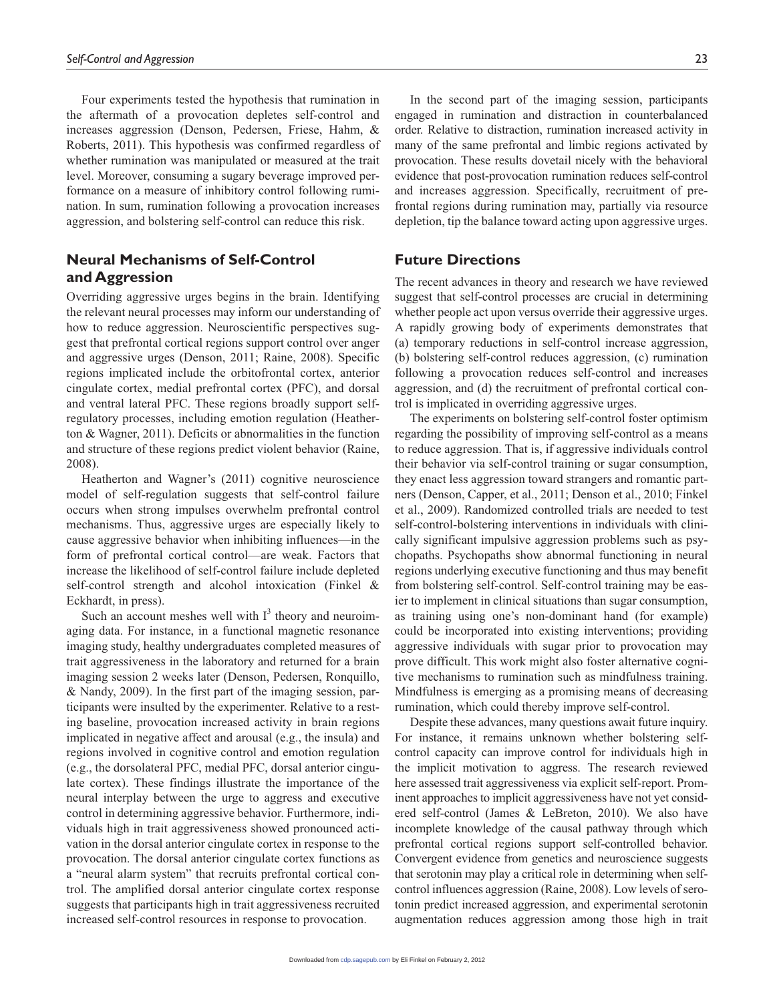Four experiments tested the hypothesis that rumination in the aftermath of a provocation depletes self-control and increases aggression (Denson, Pedersen, Friese, Hahm, & Roberts, 2011). This hypothesis was confirmed regardless of whether rumination was manipulated or measured at the trait level. Moreover, consuming a sugary beverage improved performance on a measure of inhibitory control following rumination. In sum, rumination following a provocation increases aggression, and bolstering self-control can reduce this risk.

## **Neural Mechanisms of Self-Control and Aggression**

Overriding aggressive urges begins in the brain. Identifying the relevant neural processes may inform our understanding of how to reduce aggression. Neuroscientific perspectives suggest that prefrontal cortical regions support control over anger and aggressive urges (Denson, 2011; Raine, 2008). Specific regions implicated include the orbitofrontal cortex, anterior cingulate cortex, medial prefrontal cortex (PFC), and dorsal and ventral lateral PFC. These regions broadly support selfregulatory processes, including emotion regulation (Heatherton & Wagner, 2011). Deficits or abnormalities in the function and structure of these regions predict violent behavior (Raine, 2008).

Heatherton and Wagner's (2011) cognitive neuroscience model of self-regulation suggests that self-control failure occurs when strong impulses overwhelm prefrontal control mechanisms. Thus, aggressive urges are especially likely to cause aggressive behavior when inhibiting influences—in the form of prefrontal cortical control—are weak. Factors that increase the likelihood of self-control failure include depleted self-control strength and alcohol intoxication (Finkel & Eckhardt, in press).

Such an account meshes well with  $I<sup>3</sup>$  theory and neuroimaging data. For instance, in a functional magnetic resonance imaging study, healthy undergraduates completed measures of trait aggressiveness in the laboratory and returned for a brain imaging session 2 weeks later (Denson, Pedersen, Ronquillo, & Nandy, 2009). In the first part of the imaging session, participants were insulted by the experimenter. Relative to a resting baseline, provocation increased activity in brain regions implicated in negative affect and arousal (e.g., the insula) and regions involved in cognitive control and emotion regulation (e.g., the dorsolateral PFC, medial PFC, dorsal anterior cingulate cortex). These findings illustrate the importance of the neural interplay between the urge to aggress and executive control in determining aggressive behavior. Furthermore, individuals high in trait aggressiveness showed pronounced activation in the dorsal anterior cingulate cortex in response to the provocation. The dorsal anterior cingulate cortex functions as a "neural alarm system" that recruits prefrontal cortical control. The amplified dorsal anterior cingulate cortex response suggests that participants high in trait aggressiveness recruited increased self-control resources in response to provocation.

In the second part of the imaging session, participants engaged in rumination and distraction in counterbalanced order. Relative to distraction, rumination increased activity in many of the same prefrontal and limbic regions activated by provocation. These results dovetail nicely with the behavioral evidence that post-provocation rumination reduces self-control and increases aggression. Specifically, recruitment of prefrontal regions during rumination may, partially via resource depletion, tip the balance toward acting upon aggressive urges.

## **Future Directions**

The recent advances in theory and research we have reviewed suggest that self-control processes are crucial in determining whether people act upon versus override their aggressive urges. A rapidly growing body of experiments demonstrates that (a) temporary reductions in self-control increase aggression, (b) bolstering self-control reduces aggression, (c) rumination following a provocation reduces self-control and increases aggression, and (d) the recruitment of prefrontal cortical control is implicated in overriding aggressive urges.

The experiments on bolstering self-control foster optimism regarding the possibility of improving self-control as a means to reduce aggression. That is, if aggressive individuals control their behavior via self-control training or sugar consumption, they enact less aggression toward strangers and romantic partners (Denson, Capper, et al., 2011; Denson et al., 2010; Finkel et al., 2009). Randomized controlled trials are needed to test self-control-bolstering interventions in individuals with clinically significant impulsive aggression problems such as psychopaths. Psychopaths show abnormal functioning in neural regions underlying executive functioning and thus may benefit from bolstering self-control. Self-control training may be easier to implement in clinical situations than sugar consumption, as training using one's non-dominant hand (for example) could be incorporated into existing interventions; providing aggressive individuals with sugar prior to provocation may prove difficult. This work might also foster alternative cognitive mechanisms to rumination such as mindfulness training. Mindfulness is emerging as a promising means of decreasing rumination, which could thereby improve self-control.

Despite these advances, many questions await future inquiry. For instance, it remains unknown whether bolstering selfcontrol capacity can improve control for individuals high in the implicit motivation to aggress. The research reviewed here assessed trait aggressiveness via explicit self-report. Prominent approaches to implicit aggressiveness have not yet considered self-control (James & LeBreton, 2010). We also have incomplete knowledge of the causal pathway through which prefrontal cortical regions support self-controlled behavior. Convergent evidence from genetics and neuroscience suggests that serotonin may play a critical role in determining when selfcontrol influences aggression (Raine, 2008). Low levels of serotonin predict increased aggression, and experimental serotonin augmentation reduces aggression among those high in trait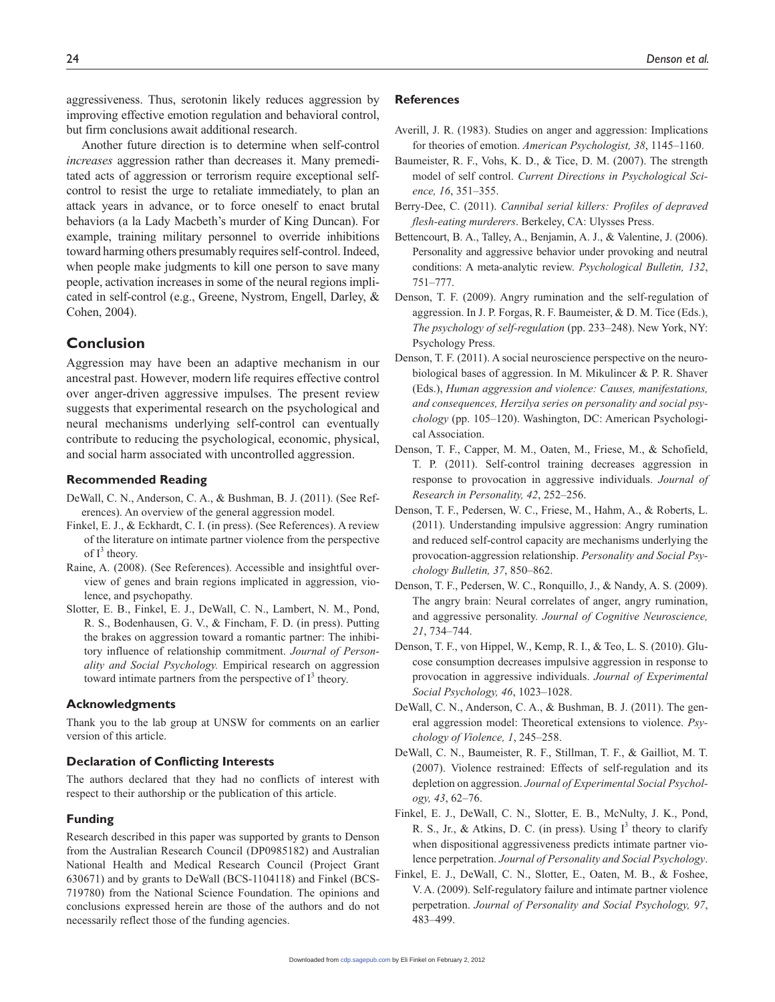aggressiveness. Thus, serotonin likely reduces aggression by improving effective emotion regulation and behavioral control, but firm conclusions await additional research.

Another future direction is to determine when self-control *increases* aggression rather than decreases it. Many premeditated acts of aggression or terrorism require exceptional selfcontrol to resist the urge to retaliate immediately, to plan an attack years in advance, or to force oneself to enact brutal behaviors (a la Lady Macbeth's murder of King Duncan). For example, training military personnel to override inhibitions toward harming others presumably requires self-control. Indeed, when people make judgments to kill one person to save many people, activation increases in some of the neural regions implicated in self-control (e.g., Greene, Nystrom, Engell, Darley, & Cohen, 2004).

## **Conclusion**

Aggression may have been an adaptive mechanism in our ancestral past. However, modern life requires effective control over anger-driven aggressive impulses. The present review suggests that experimental research on the psychological and neural mechanisms underlying self-control can eventually contribute to reducing the psychological, economic, physical, and social harm associated with uncontrolled aggression.

#### **Recommended Reading**

- DeWall, C. N., Anderson, C. A., & Bushman, B. J. (2011). (See References). An overview of the general aggression model.
- Finkel, E. J., & Eckhardt, C. I. (in press). (See References). A review of the literature on intimate partner violence from the perspective of  $I^3$  theory.
- Raine, A. (2008). (See References). Accessible and insightful overview of genes and brain regions implicated in aggression, violence, and psychopathy.
- Slotter, E. B., Finkel, E. J., DeWall, C. N., Lambert, N. M., Pond, R. S., Bodenhausen, G. V., & Fincham, F. D. (in press). Putting the brakes on aggression toward a romantic partner: The inhibitory influence of relationship commitment. *Journal of Personality and Social Psychology.* Empirical research on aggression toward intimate partners from the perspective of  $I<sup>3</sup>$  theory.

#### **Acknowledgments**

Thank you to the lab group at UNSW for comments on an earlier version of this article.

#### **Declaration of Conflicting Interests**

The authors declared that they had no conflicts of interest with respect to their authorship or the publication of this article.

#### **Funding**

Research described in this paper was supported by grants to Denson from the Australian Research Council (DP0985182) and Australian National Health and Medical Research Council (Project Grant 630671) and by grants to DeWall (BCS-1104118) and Finkel (BCS-719780) from the National Science Foundation. The opinions and conclusions expressed herein are those of the authors and do not necessarily reflect those of the funding agencies.

#### **References**

- Averill, J. R. (1983). Studies on anger and aggression: Implications for theories of emotion. *American Psychologist, 38*, 1145–1160.
- Baumeister, R. F., Vohs, K. D., & Tice, D. M. (2007). The strength model of self control. *Current Directions in Psychological Science, 16*, 351–355.
- Berry-Dee, C. (2011). *Cannibal serial killers: Profiles of depraved flesh-eating murderers*. Berkeley, CA: Ulysses Press.
- Bettencourt, B. A., Talley, A., Benjamin, A. J., & Valentine, J. (2006). Personality and aggressive behavior under provoking and neutral conditions: A meta-analytic review. *Psychological Bulletin, 132*, 751–777.
- Denson, T. F. (2009). Angry rumination and the self-regulation of aggression. In J. P. Forgas, R. F. Baumeister, & D. M. Tice (Eds.), *The psychology of self-regulation* (pp. 233–248). New York, NY: Psychology Press.
- Denson, T. F. (2011). A social neuroscience perspective on the neurobiological bases of aggression. In M. Mikulincer & P. R. Shaver (Eds.), *Human aggression and violence: Causes, manifestations, and consequences, Herzilya series on personality and social psychology* (pp. 105–120). Washington, DC: American Psychological Association.
- Denson, T. F., Capper, M. M., Oaten, M., Friese, M., & Schofield, T. P. (2011). Self-control training decreases aggression in response to provocation in aggressive individuals. *Journal of Research in Personality, 42*, 252–256.
- Denson, T. F., Pedersen, W. C., Friese, M., Hahm, A., & Roberts, L. (2011). Understanding impulsive aggression: Angry rumination and reduced self-control capacity are mechanisms underlying the provocation-aggression relationship. *Personality and Social Psychology Bulletin, 37*, 850–862.
- Denson, T. F., Pedersen, W. C., Ronquillo, J., & Nandy, A. S. (2009). The angry brain: Neural correlates of anger, angry rumination, and aggressive personality. *Journal of Cognitive Neuroscience, 21*, 734–744.
- Denson, T. F., von Hippel, W., Kemp, R. I., & Teo, L. S. (2010). Glucose consumption decreases impulsive aggression in response to provocation in aggressive individuals. *Journal of Experimental Social Psychology, 46*, 1023–1028.
- DeWall, C. N., Anderson, C. A., & Bushman, B. J. (2011). The general aggression model: Theoretical extensions to violence. *Psychology of Violence, 1*, 245–258.
- DeWall, C. N., Baumeister, R. F., Stillman, T. F., & Gailliot, M. T. (2007). Violence restrained: Effects of self-regulation and its depletion on aggression. *Journal of Experimental Social Psychology, 43*, 62–76.
- Finkel, E. J., DeWall, C. N., Slotter, E. B., McNulty, J. K., Pond, R. S., Jr., & Atkins, D. C. (in press). Using  $I^3$  theory to clarify when dispositional aggressiveness predicts intimate partner violence perpetration. *Journal of Personality and Social Psychology*.
- Finkel, E. J., DeWall, C. N., Slotter, E., Oaten, M. B., & Foshee, V. A. (2009). Self-regulatory failure and intimate partner violence perpetration. *Journal of Personality and Social Psychology, 97*, 483–499.